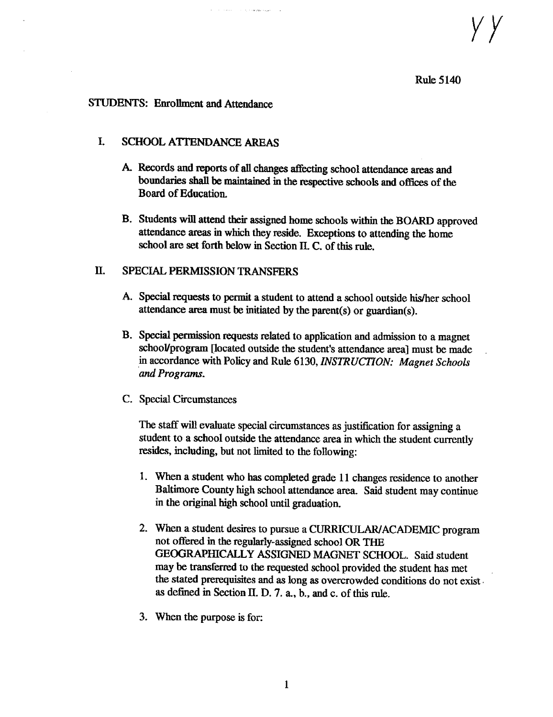### Rule 5144

### STUDENTS: Enrollment and Attendance

### I. SCHOOL ATTENDANCE AREAS

- A. Records and reports of all changes affecting school attendance areas and boundaries shall be maintained in the respective schools and offices of the Board of Education.
- B. Students will attend their assigned home schools within the BOARD approved attendance areas in which they reside. Exceptions to attending the home school are set forth below in Section II. C. of this rule.

### II. SPECIAL PERMISSION TRANSFERS

- A. Special requests to permit <sup>a</sup> student to attend <sup>a</sup> school outside his/her school attendance area must be initiated by the parent(s) or guardian(s).
- B. Special permission requests related to application and admission to <sup>a</sup> magnet school/program (located outside the student's attendance area] must be made in accordance with Policy and Rule 6130, INSTRUCTION: Magnet Schools and Programs.
- C. Special Circumstances

The staff will evaluate special circumstances as justification for assigning a student to a school outside the attendance area in which the student currently resides, including, but not limited to the following:

- 1. When a student who has completed grade 11 changes residence to another Baltimore County high school attendance area. Said student may continue in the original high school until graduation.
- 2. When a student desires to pursue <sup>a</sup> CURRICULAR/ACADEMIC program not offered in the regularly-assigned school OR THE GEOGRAPHICALLY ASSIGNED MAGNET SCHOOL. Said student may be transferred to the requested school provided the student has met the stated prerequisites and as long as overcrowded conditions do not exist as defined in Section II. D. 7. a., b., and c. of this rule.
- 3. When the purpose is for: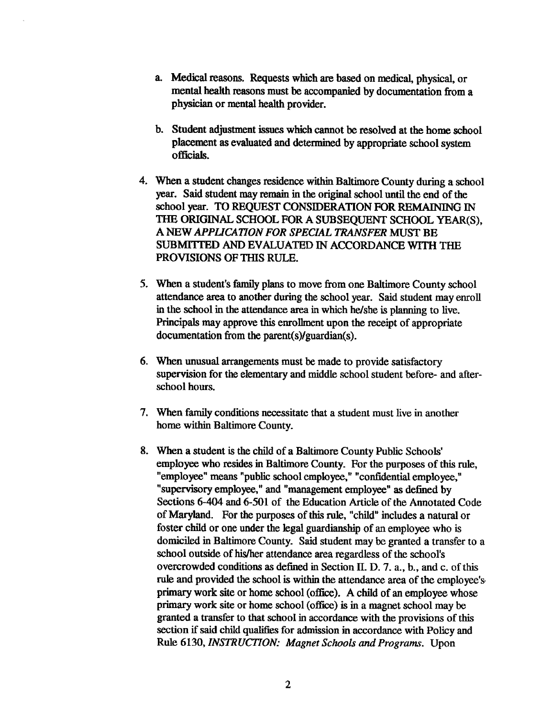- a. Medical reasons. Requests which are based on medical, physical, or mental health reasons must be accompanied by documentation from a physician or mental health provider.
- b. Student adjustment issues which cannot be resolved at the home school placement as evaluated and determined by appropriate school system officials.
- 4. When a student changes residence within Baltimore County during a school year. Said student may remain in the original school until the end of the school year. TO REQUEST CONSIDERATION FOR REMAINING IN THE ORIGINAL SCHOOL FOR A SUBSEQUENT SCHOOL YEAR(S), A NEW APPLICATION FOR SPECIAL TRANSFER MUST BE SUBMITTED AND EVALUATED IN ACCORDANCE WITH THE PROVISIONS OF THIS RULE.
- 5. When <sup>a</sup> student's family plans to move from one Baltimore County school attendance area to another during the school year. Said student may enroll in the school in the attendance area in which he/she is planning to live . Principals may approve this enrollment upon the receipt of appropriate documentation from the parent(s)/guardian(s).
- 6. When unusual arrangements must be made to provide satisfactory supervision for the elementary and middle school student before- and afterschool hours.
- 7. When family conditions necessitate that a student must live in another home within Baltimore County.
- 8. When a student is the child of <sup>a</sup> Baltimore County Public Schools' employee who resides in Baltimore County. For the purposes of this rule, "employee" means "public school employee," "confidential employee," "supervisory employee," and "management employee" as defined by Sections 6-404 and 6-501 of the Education Article of the Annotated Code of Maryland. For the purposes of this rule, "child" includes a natural or foster child or one under the legal guardianship of an employee who is domiciled in Baltimore County. Said student may be granted a transfer to a school outside of his/her attendance area regardless of the school's overcrowded conditions as defined in Section II. D. 7. a., b., and c. ofthis rule and provided the school is within the attendance area of the employee's primary work site or home school (office). A child of an employee whose primary work site or home school (office) is in a magnet school may be granted a transfer to that school in accordance with the provisions of this section if said child qualifies for admission in accordance with Policy and Rule 6130, INSTRUCTION: Magnet Schools and Programs. Upon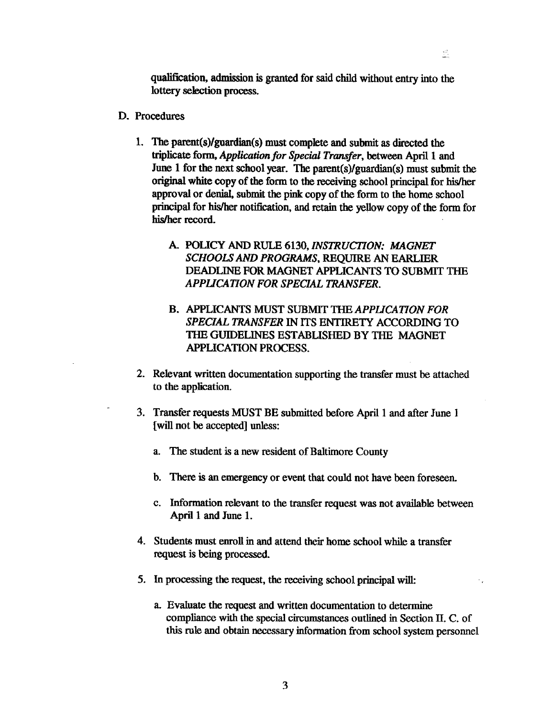qualification, admission is granted for said child without entry into the lottery selection process.

Đ.

- D. Procedures
	- <sup>1</sup> . The parent(s)/guardian(s) must complete and submit as directed the triplicate form, Application for Special Transfer, between April 1 and June 1 for the next school year. The parent(s)/guardian(s) must submit the original white copy of the form to the receiving school principal for his/her approval or denial, submit the pink copy of the form to the home school principal for his/her notification, and retain the yellow copy of the form for his/her record.
		- A. POLICY AND RULE 6130, INSTRUCTION; MAGNET SCHOOLSAND PROGRAMS, REQUIRE AN EARLIER DEADLINE FOR MAGNET APPLICANTS TO SUBMIT THE APPLICATION FOR SPECIAL TRANSFER.
		- B. APPLICANTS MUST SUBMIT THE APPLICATION FOR SPECIAL TRANSFER IN ITS ENTIRETY ACCORDING TO THE GUIDELINES ESTABLISHED BY THE MAGNET APPLICATION PROCESS.
	- 2. Relevant written documentation supporting the transfer must be attached to the application.
	- 3. Transfer requests MUST BE submitted before April <sup>1</sup> and after June <sup>1</sup> [will not be accepted] unless:
		- a. The student is a new resident of Baltimore County
		- b. There is an emergency or event that could not have been foreseen.
		- c. Information relevant to the transfer request was not available between April 1 and June 1.
	- 4. Students must enroll in and attend their home school while a transfer request is being processed.
	- 5. In processing the request, the receiving school principal will:
		- a. Evaluate the request and written documentation to determine compliance with the special circumstances outlined in Section II. C. of this rule and obtain necessary information from school system personnel

3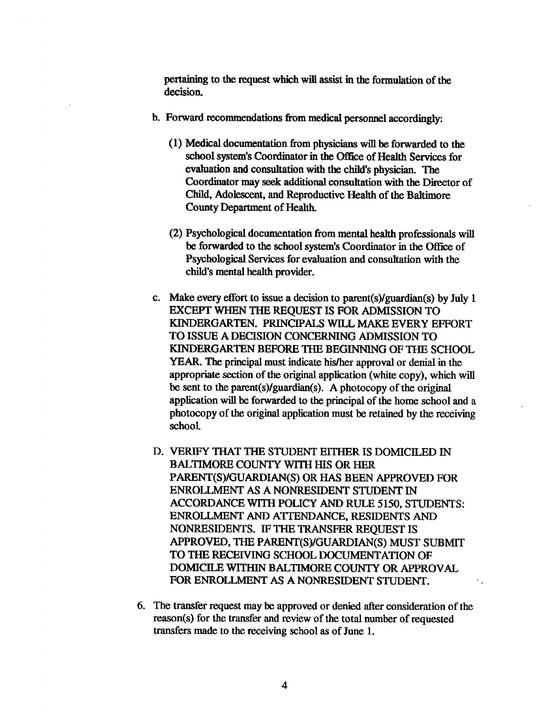pertaining to the request which will assist in the formulation of the decision.

- b. Forward recommendations from medical personnel accordingly:
	- (1) Medical documentation from physicians will be forwarded to the school system's Coordinator in the Office of Health Services for evaluation and consultation with the child's physician. The Coordinator may seek additional consultation with the Director of Child, Adolescent, and Reproductive Health of the Baltimore County Department of Health.
	- (2) Psychological documentation from mental health professionals will be forwarded to the school system's Coordinator in the Office of Psychological Services for evaluation and consultation with the child's mental health provider.
- c. Make every effort to issue a decision to parent(s)/guardian(s) by July <sup>1</sup> EXCEPT WHEN THE REQUEST IS FOR ADMISSION TO KINDERGARTEN. PRINCIPALS WILL MAKE EVERY EFFORT TO ISSUE A DECISION CONCERNING ADMISSION TO KINDERGARTEN BEFORE THE BEGINNING OF THE SCHOOL YEAR. The principal must indicate his/her approval or denial in the appropriate section of the original application (white copy), which will be sent to the parent(s)/guardian(s). A photocopy of the original application will be forwarded to the principal of the home school and a photocopy of the original application must be retained by the receiving school.
- D. VERIFY THAT THE STUDENT EITHER IS DOMICILED IN BALTIMORE COUNTY WITH HIS OR HER PARENT(S)/GUARDIAN(S) OR HAS BEEN APPROVED FOR ENROLLMENT AS ANONRESIDENT STUDENT IN ACCORDANCE WITH POLICY AND RULE 5150, STUDENTS: ENROLLMENT AND ATTENDANCE, RESIDENTS AND NONRESIDENTS. IF THE TRANSFER REQUEST IS APPROVED, THE PARENT(S)/GUARDIAN(S) MUST SUBMIT TO THE RECEIVING SCHOOL DOCUMENTATION OF DOMICILE WITHIN BALTIMORE COUNTY OR APPROVAL FOR ENROLLMENT AS A NONRESIDENT STUDENT.
- 6. The transfer request may be approved or denied after consideration of the reason(s) for the transfer and review of the total number of requested transfers made to the receiving school as of June 1.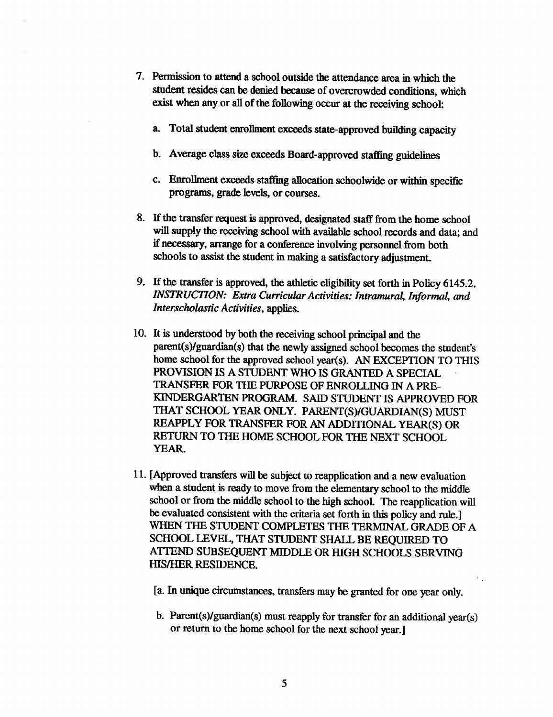- 7. Permission to attend a school outside the attendance area in which the student resides can be denied because of overcrowded conditions, which exist when any or all of the following occur at the receiving school:
	- a. Total student enrollment exceeds state-approved building capacity
	- b. Average class size exceeds Board-approved staffing guidelines
	- c. Enrollment exceeds staffing allocation schoolwide or within specific programs, grade levels, or courses.
- 8. If the transfer request is approved, designated staff from the home school will supply the receiving school with available school records and data; and if necessary, arrange for a conference involving personnel from both schools to assist the student in making a satisfactory adjustment.
- 9. If the transfer is approved, the athletic eligibility set forth in Policy 6145.2, INSTRUCTION: Extra Curricular Activities: Intramural, Informal, and Interscholastic Activities, applies.
- 10. It is understood by both the receiving school principal and the parent(s)/guardian(s) that the newly assigned school becomes the student's home school for the approved school year(s). AN EXCEPTION TO THIS PROVISION IS A STUDENT WHO IS GRANTED A SPECIAL TRANSFER FOR THE PURPOSE OF ENROLLING IN APRE-KINDERGARTEN PROGRAM. SAID STUDENT IS APPROVED FOR THAT SCHOOL YEAR ONLY. PARENT(S)/GUARDIAN(S) MUST REAPPLY FOR TRANSFER FOR AN ADDITIONAL YEAR(S) OR RETURN TO THE HOME SCHOOL FOR THE NEXT SCHOOL YEAR.
- 11 . [Approved transfers will be subject to reapplication and a new evaluation when a student is ready to move from the elementary school to the middle school or from the middle school to the high school. The reapplication will be evaluated consistent with the criteria set forth in this policy and rule.] WHEN THE STUDENT COMPLETES THE TERMINAL GRADE OF A SCHOOL LEVEL, THAT STUDENT SHALL BE REQUIRED TO ATTEND SUBSEQUENT MIDDLE OR HIGH SCHOOLS SERVING HIS/HER RESIDENCE.
	- [a . In unique circumstances, transfers may be granted for one year only.
	- b. Parent(s)/guardian(s) must reapply for transfer for an additional year(s) or return to the home school for the next school year.]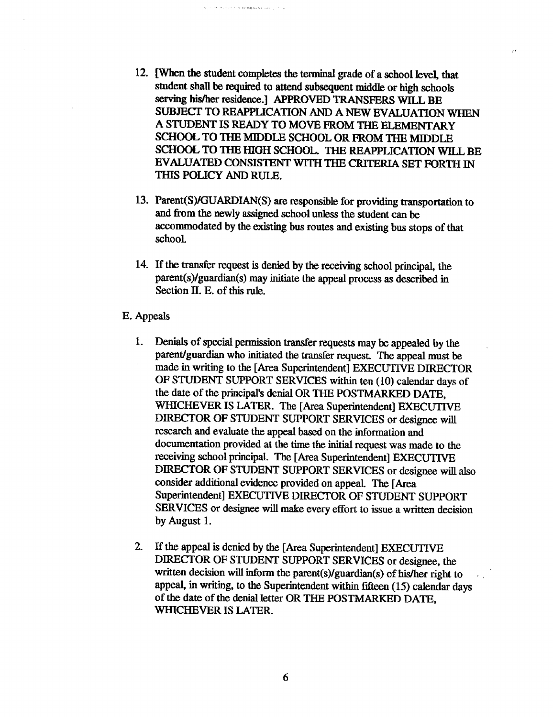12. [When the student completes the terminal grade of <sup>a</sup> school level, that student shall be required to attend subsequent middle or high schools serving his/her residence.] APPROVED TRANSFERS WILL BE SUBJECT TO REAPPLICATION AND A NEW EVALUATION WHEN A STUDENT IS READY TO MOVE FROM THE ELEMENTARY SCHOOL TO THE MIDDLE SCHOOL OR FROM THE MIDDLE SCHOOL TO THE HIGH SCHOOL. THE REAPPLICATION WILL BE EVALUATED CONSISTENT WITH THE CRITERIA SET FORTH IN THIS POLICY AND RULE.

and the second compression and

- 13. Parent(S)/GUARDIAN(S) are responsible for providing transportation to and from the newly assigned school unless the student can be accommodated by the existing bus routes and existing bus stops of that school.
- 14. If the transfer request is denied by the receiving school principal, the parent(s)/guardian(s) may initiate the appeal process as described in Section II. E. of this rule.

### E. Appeals

- <sup>1</sup> . Denials of special permission transfer requests may be appealed by the parent/guardian who initiated the transfer request. The appeal must be made in writing to the [Area Superintendent] EXECUTIVE DIRECTOR OF STUDENT SUPPORT SERVICES within ten (10) calendar days of the date of the principal's denial OR THE POSTMARKED DATE, WHICHEVER IS LATER. The [Area Superintendent] EXECUTIVE DIRECTOR OF STUDENT SUPPORT SERVICES or designee will research and evaluate the appeal based on the information and documentation provided at the time the initial request was made to the receiving school principal. The [Area Superintendent] EXECUTIVE DIRECTOR OF STUDENT SUPPORT SERVICES or designee will also consider additional evidence provided on appeal. The [Area Superintendent] EXECUTIVE DIRECTOR OF STUDENT SUPPORT SERVICES or designee will make every effort to issue a written decision by August 1.
- 2. If the appeal is denied by the [Area Superintendent] EXECUTIVE DIRECTOR OF STUDENT SUPPORT SERVICES or designee, the written decision will inform the parent(s)/guardian(s) of his/her right to appeal, in writing, to the Superintendent within fifteen (15) calendar days of the date of the denial letter OR THE POSTMARKED DATE, WHICHEVERIS LATER.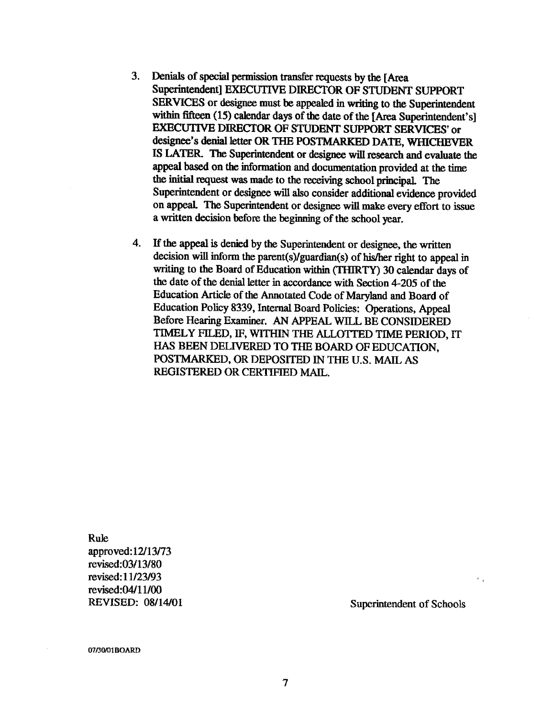- 3. Denials of special permission transfer requests by the [Area Superintendent] EXECUTIVE DIRECTOR OF STUDENT SUPPORT SERVICES or designee must be appealed in writing to the Superintendent within fifteen (15) calendar days of the date of the [Area Superintendent's] EXECUTIVE DIRECTOR OF STUDENT SUPPORT SERVICES' or designee's denial letter OR THE POSTMARKED DATE, WHICHEVER IS LATER. The Superintendent or designee will research and evaluate the appeal based on the information and documentation provided at the time the initial request was made to the receiving school principal. The Superintendent or designee will also consider additional evidence provided on appeal. The Superintendent or designee will make every effort to issue a written decision before the beginning of the school year.
- 4. If the appeal is denied by the Superintendent or designee, the written decision will inform the parent(s)/guardian(s) of his/her right to appeal in writing to the Board of Education within (THIRTY) 30 calendar days of the date of the denial letter in accordance with Section 4-205 of the Education Article of the Annotated Code of Maryland and Board of Education Policy 8339, Internal Board Policies: Operations, Appeal Before Hearing Examiner. AN APPEAL WILL BE CONSIDERED TIMELY FILED, IF, WITHIN THE ALLOTTED TIME PERIOD, IT HAS BEEN DELIVERED TO THE BOARD OF EDUCATION, POSTMARKED, OR DEPOSITED IN THE U.S. MAIL AS REGISTERED OR CERTIFIED MAIL.

Rule approved: 12/13/73 revised:03/13/80 revised : 11/23/93 revised :04111/00

REVISED: 08/14/01 Superintendent of Schools

07/30/01 BOARD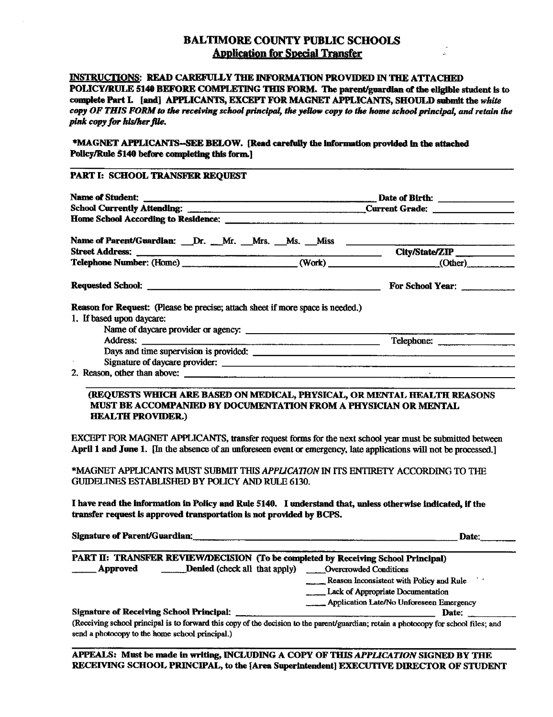### BALTIMORE COUNTY PUBLIC SCHOOLS **Application for Special Transfer**

### INSTRUCTIONS: READ CAREFULLY THE INFORMATION PROVIDED IN THE ATTACHED POLICY/RULE <sup>5140</sup> BEFORE COMPLETING THIS FORM. The parent/guardian of the eligible student is to complete Part L [and] APPLICANTS, EXCEPT FOR MAGNET APPLICANTS, SHOULD submit the white copy OF THIS FORM to the receiving school principal, the yellow copy to the home school principal, and retain the pink copy for his/her file.

\*MAGNET APPLICANTS--SEE BELOW. [Read carefully the information provided in the attached Policy/Rule 5140 before completing this form.]

### PART I: SCHOOL TRANSFER REQUEST

| Name of Parent/Guardian: __Dr. __Mr. __Mrs. __Ms. __Miss ________________________ |  |                  |  |
|-----------------------------------------------------------------------------------|--|------------------|--|
|                                                                                   |  | City/State/ZIP   |  |
| Telephone Number: (Home) (Work) (Work) (Work) (Other)                             |  |                  |  |
|                                                                                   |  | For School Year: |  |
| Reason for Request: (Please be precise; attach sheet if more space is needed.)    |  |                  |  |
| 1. If based upon daycare:                                                         |  |                  |  |
|                                                                                   |  |                  |  |
|                                                                                   |  | Telephone:       |  |
|                                                                                   |  |                  |  |
|                                                                                   |  |                  |  |
|                                                                                   |  |                  |  |

### (REQUESTS WHICH ARE BASED ON MEDICAL, PHYSICAL, ORMENTAL HEALTH REASONS MUST BE ACCOMPANIED BY DOCUMENTATION FROM APHYSICIAN OR MENTAL HEALTH PROVIDER)

EXCEPT FOR MAGNET APPLICANTS, transfer request forms for the next school year must be submitted between April 1 and June 1. [In the absence of an unforeseen event or emergency, late applications will not be processed.]

\*MAGNET APPLICANTS MUST SUBMIT THIS APPLICATION IN ITS ENTIRETY ACCORDING TO THE GUIDELINES ESTABLISHED BY POLICY AND RULE 6130.

I have read the information in Policy and Rule 5140. I understand that, unless otherwise indicated, if the transfer request is approved transportation is not provided by BCPS.

Signature of Parent/Guardian:

Date:

|                                                                                                                                      |                 |                                                 |  | PART II: TRANSFER REVIEW/DECISION (To be completed by Receiving School Principal) |
|--------------------------------------------------------------------------------------------------------------------------------------|-----------------|-------------------------------------------------|--|-----------------------------------------------------------------------------------|
|                                                                                                                                      | <b>Approved</b> | Denied (check all that apply)                   |  | <b>Conditions</b> Overcrowded Conditions                                          |
|                                                                                                                                      |                 |                                                 |  | Reason Inconsistent with Policy and Rule [15]                                     |
|                                                                                                                                      |                 |                                                 |  | Lack of Appropriate Documentation                                                 |
|                                                                                                                                      |                 |                                                 |  | <b>Application Late/No Unforeseen Emergency</b>                                   |
|                                                                                                                                      |                 | <b>Signature of Receiving School Principal:</b> |  | Date:                                                                             |
| (Receiving school principal is to forward this copy of the decision to the parent/guardian; retain a photocopy for school files; and |                 |                                                 |  |                                                                                   |

(Receiving school principal is to forward this copy of the decision to the parent/guardian; retain a photocopy for school files; and send a photocopy to the home school principal.)

APPEALS. Must be made in writing, INCLUDING A COPY OF THIS APPLICATION SIGNED BY THE RECEIVING SCHOOL PRINCIPAL, to the [Area Superintendent] EXECUTIVE DIRECTOR OF STUDENT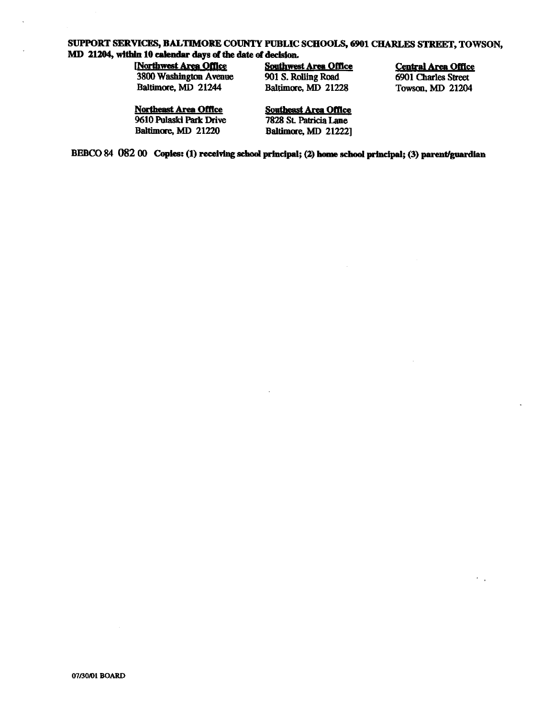## SUPPORT SERVICES, BALTIMORE COUNTY PUBLIC SCHOOLS, <sup>6901</sup> CHARLES STREET, TOWSON, MD 21204, within 10 calendar days of the date of decision.<br>
Northwest Area Office Southwest Area Office

(Northwest Area Office Southwest Area Office Central Area Office<br>3800 Washington Avenue 901 S. Rolling Road 6901 Charles Street 3800 Washington Avenue 901 S. Rolling Road 6901 Charles Street<br>Baltimore, MD 21244 Baltimore, MD 21228 Towson, MD 21204

# Baltimore, MD 21228

**Northeast Area Office** Southeast Area Office<br>
9610 Pulaski Park Drive 7828 St. Patricia Lane 9610 Pulaski Park Drive<br>Baltimore, MD 21220

**Baltimore, MD 21222]** 

BEBCO 84 082 00 Copies: (1) receiving school principal; (2) home school principal; (3) parent/guardian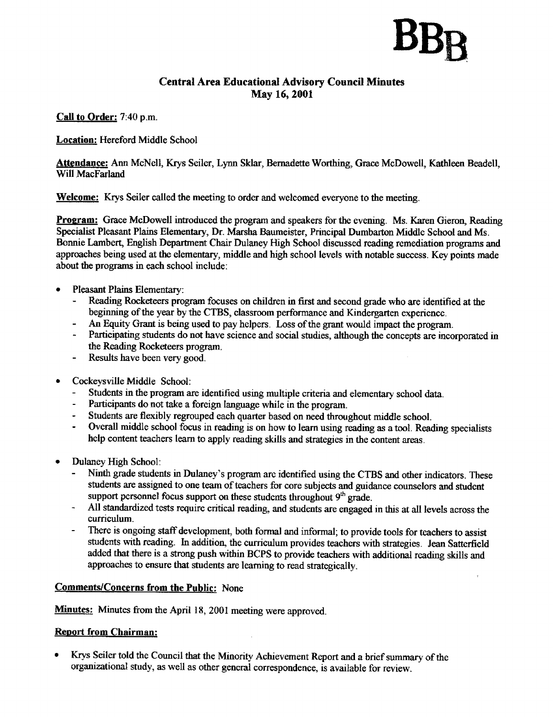### Central Area Educational Advisory Council Minutes May 16, 2001

Call to Order: 7:40 p.m.

Location: Hereford Middle School

Attendance: Ann McNell, Krys Seiler, Lynn Sklar, Bernadette Worthing, Grace McDowell, Kathleen Beadell, Will MacFarland

Welcome: Krys Seiler called the meeting to order and welcomed everyone to the meeting.

Program: Grace McDowell introduced the program and speakers for the evening. Ms. Karen Gieron, Reading Specialist Pleasant Plains Elementary, Dr. Marsha Baumeister, Principal Dumbarton Middle School and Ms. Bonnie Lambert, English Department Chair Dulaney High School discussed reading remediation programs and approaches being used at the elementary, middle and high school levels with notable success. Key points made about the programs in each school include :

- Pleasant Plains Elementary:
	- Reading Rocketeers program focuses on children in first and second grade who are identified at the beginning of the year by the CTBS, classroom performance and Kindergarten experience.
	- An Equity Grant is being used to pay helpers. Loss of the grant would impact the program.
	- Participating students do not have science and social studies, although the concepts are incorporated in the Reading Rocketeers program.
	- Results have been very good.
- Cockeysville Middle School:
	- Students in the program are identified using multiple criteria and elementary school data.
	- Participants do not take a foreign language while in the program.
	- Students are flexibly regrouped each quarter based on need throughout middle school.
	- Overall middle school focus in reading is on how to learn using reading as a tool . Reading specialists help content teachers learn to apply reading skills and strategies in the content areas.
- Dulaney High School:<br>Ninth orade studen
	- Ninth grade students in Dulaney's program are identified using the CTBS and other indicators. These students are assigned to one team of teachers for core subjects and guidance counselors and student support personnel focus support on these students throughout  $9<sup>th</sup>$  grade.
	- All standardized tests require critical reading, and students are engaged in this at all levels across the curriculum.
	- There is ongoing staff development, both formal and informal; to provide tools for teachers to assist students with reading. In addition, the curriculum provides teachers with strategies. Jean Satterfield added that there is a strong push within BCPS to provide teachers with additional reading skills and approaches to ensure that students are learning to read strategically.

### Comments/Concerns from the Public: None

Minutes: Minutes from the April 18, 2001 meeting were approved.

### **Report from Chairman:**

• Krys Seiler told the Council that the Minority Achievement Report and a brief summary of the organizational study, as well as other general correspondence, is available for review.